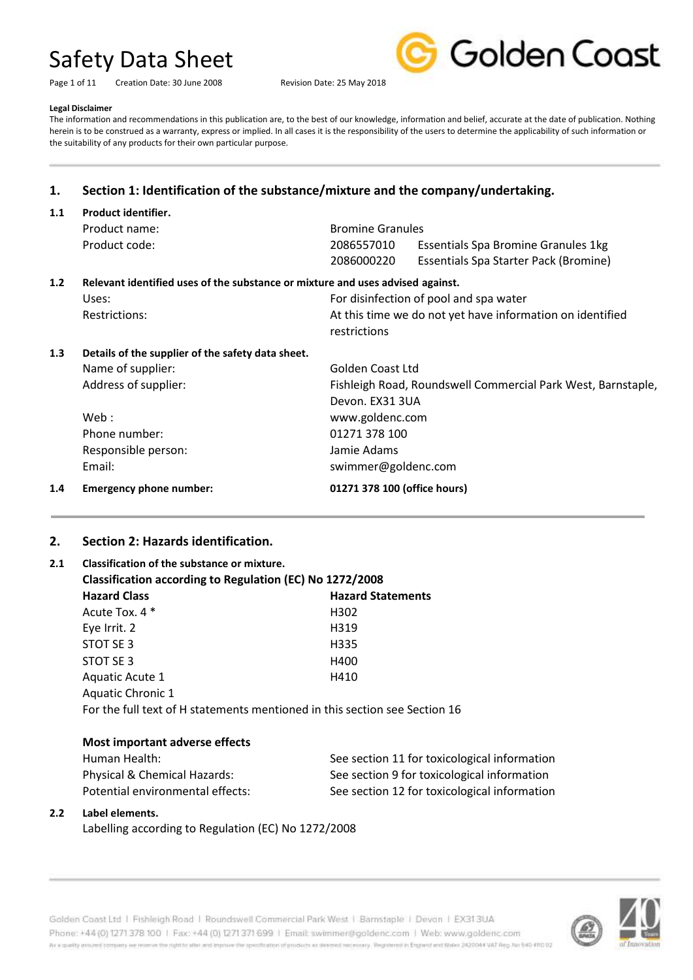Page 1 of 11 Creation Date: 30 June 2008 Revision Date: 25 May 2018



#### **Legal Disclaimer**

The information and recommendations in this publication are, to the best of our knowledge, information and belief, accurate at the date of publication. Nothing herein is to be construed as a warranty, express or implied. In all cases it is the responsibility of the users to determine the applicability of such information or the suitability of any products for their own particular purpose.

## **1. Section 1: Identification of the substance/mixture and the company/undertaking.**

| 1.1 | Product identifier.                                                            |                              |                                                              |  |
|-----|--------------------------------------------------------------------------------|------------------------------|--------------------------------------------------------------|--|
|     | Product name:                                                                  | <b>Bromine Granules</b>      |                                                              |  |
|     | Product code:                                                                  | 2086557010                   | Essentials Spa Bromine Granules 1kg                          |  |
|     |                                                                                | 2086000220                   | Essentials Spa Starter Pack (Bromine)                        |  |
| 1.2 | Relevant identified uses of the substance or mixture and uses advised against. |                              |                                                              |  |
|     | Uses:                                                                          |                              | For disinfection of pool and spa water                       |  |
|     | <b>Restrictions:</b>                                                           |                              | At this time we do not yet have information on identified    |  |
|     |                                                                                | restrictions                 |                                                              |  |
| 1.3 | Details of the supplier of the safety data sheet.                              |                              |                                                              |  |
|     | Name of supplier:                                                              | Golden Coast Ltd             |                                                              |  |
|     | Address of supplier:                                                           |                              | Fishleigh Road, Roundswell Commercial Park West, Barnstaple, |  |
|     |                                                                                | Devon. EX31 3UA              |                                                              |  |
|     | Web:                                                                           | www.goldenc.com              |                                                              |  |
|     | Phone number:                                                                  | 01271 378 100                |                                                              |  |
|     | Responsible person:                                                            | Jamie Adams                  |                                                              |  |
|     | Email:                                                                         | swimmer@goldenc.com          |                                                              |  |
| 1.4 | Emergency phone number:                                                        | 01271 378 100 (office hours) |                                                              |  |

#### **2. Section 2: Hazards identification.**

## **2.1 Classification of the substance or mixture. Classification according to Regulation (EC) No 1272/2008 Hazard Class Hazard Statements** Acute Tox. 4 \* H302 Eye Irrit. 2 H319 STOT SF 3 H335 STOT SE 3 H400 Aquatic Acute 1 https://www.assett.com/documents/html Aquatic Chronic 1 For the full text of H statements mentioned in this section see Section 16

#### **Most important adverse effects**

| Human Health:                    | See section 11 for toxicological information |
|----------------------------------|----------------------------------------------|
| Physical & Chemical Hazards:     | See section 9 for toxicological information  |
| Potential environmental effects: | See section 12 for toxicological information |

#### **2.2 Label elements.**

Labelling according to Regulation (EC) No 1272/2008

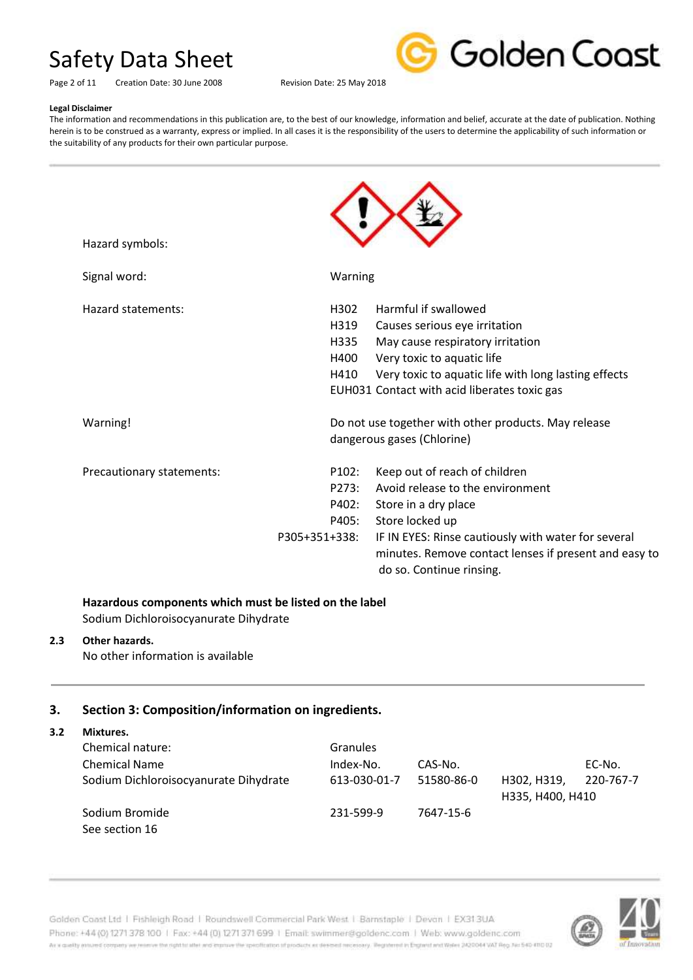

Page 2 of 11 Creation Date: 30 June 2008 Revision Date: 25 May 2018

#### **Legal Disclaimer**

The information and recommendations in this publication are, to the best of our knowledge, information and belief, accurate at the date of publication. Nothing herein is to be construed as a warranty, express or implied. In all cases it is the responsibility of the users to determine the applicability of such information or the suitability of any products for their own particular purpose.

| Hazard symbols:           |                    |                                                                                                                                          |
|---------------------------|--------------------|------------------------------------------------------------------------------------------------------------------------------------------|
| Signal word:              | Warning            |                                                                                                                                          |
| Hazard statements:        | H302               | Harmful if swallowed                                                                                                                     |
|                           | H319               | Causes serious eye irritation                                                                                                            |
|                           | H335               | May cause respiratory irritation                                                                                                         |
|                           | H400               | Very toxic to aquatic life                                                                                                               |
|                           | H410               | Very toxic to aquatic life with long lasting effects                                                                                     |
|                           |                    | EUH031 Contact with acid liberates toxic gas                                                                                             |
| Warning!                  |                    | Do not use together with other products. May release                                                                                     |
|                           |                    | dangerous gases (Chlorine)                                                                                                               |
| Precautionary statements: | P <sub>102</sub> : | Keep out of reach of children                                                                                                            |
|                           | P273:              | Avoid release to the environment                                                                                                         |
|                           | P402:              | Store in a dry place                                                                                                                     |
|                           | P405:              | Store locked up                                                                                                                          |
|                           | P305+351+338:      | IF IN EYES: Rinse cautiously with water for several<br>minutes. Remove contact lenses if present and easy to<br>do so. Continue rinsing. |
|                           |                    |                                                                                                                                          |

### **Hazardous components which must be listed on the label**

Sodium Dichloroisocyanurate Dihydrate

### **2.3 Other hazards.**

No other information is available

#### **3. Section 3: Composition/information on ingredients.**

**3.2 Mixtures.**

| Chemical nature:                      | <b>Granules</b> |            |                  |           |
|---------------------------------------|-----------------|------------|------------------|-----------|
| <b>Chemical Name</b>                  | Index-No.       | CAS-No.    |                  | EC-No.    |
| Sodium Dichloroisocyanurate Dihydrate | 613-030-01-7    | 51580-86-0 | H302. H319.      | 220-767-7 |
|                                       |                 |            | H335, H400, H410 |           |
| Sodium Bromide                        | 231-599-9       | 7647-15-6  |                  |           |
| See section 16                        |                 |            |                  |           |

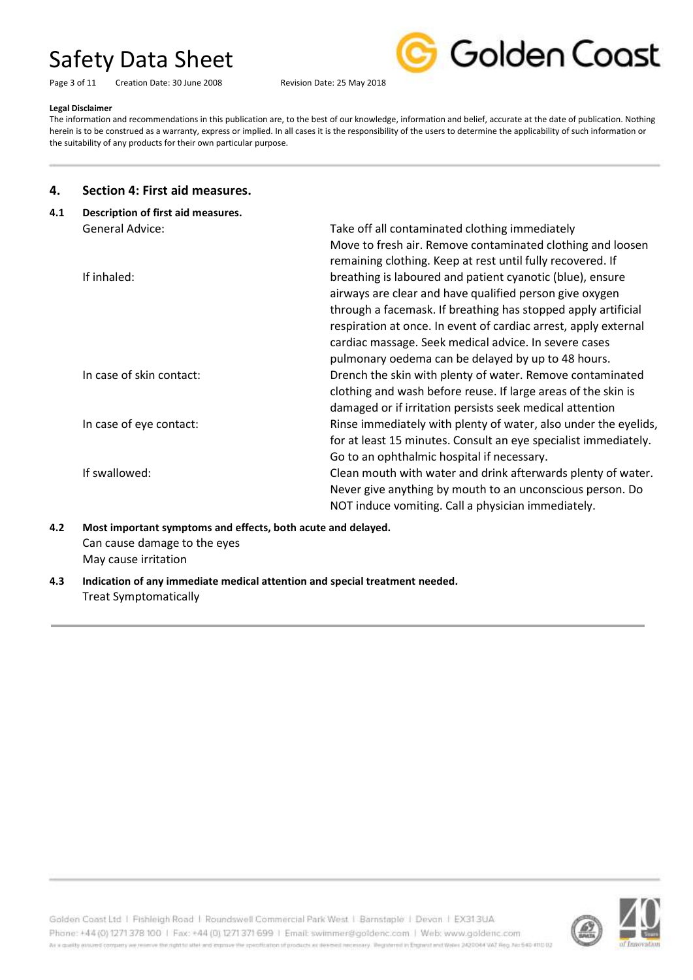Page 3 of 11 Creation Date: 30 June 2008 Revision Date: 25 May 2018



#### **Legal Disclaimer**

The information and recommendations in this publication are, to the best of our knowledge, information and belief, accurate at the date of publication. Nothing herein is to be construed as a warranty, express or implied. In all cases it is the responsibility of the users to determine the applicability of such information or the suitability of any products for their own particular purpose.

#### **4. Section 4: First aid measures.**

| 4.1 | Description of first aid measures. |                                                                 |  |  |
|-----|------------------------------------|-----------------------------------------------------------------|--|--|
|     | General Advice:                    | Take off all contaminated clothing immediately                  |  |  |
|     |                                    | Move to fresh air. Remove contaminated clothing and loosen      |  |  |
|     |                                    | remaining clothing. Keep at rest until fully recovered. If      |  |  |
|     | If inhaled:                        | breathing is laboured and patient cyanotic (blue), ensure       |  |  |
|     |                                    | airways are clear and have qualified person give oxygen         |  |  |
|     |                                    | through a facemask. If breathing has stopped apply artificial   |  |  |
|     |                                    | respiration at once. In event of cardiac arrest, apply external |  |  |
|     |                                    | cardiac massage. Seek medical advice. In severe cases           |  |  |
|     |                                    | pulmonary oedema can be delayed by up to 48 hours.              |  |  |
|     | In case of skin contact:           | Drench the skin with plenty of water. Remove contaminated       |  |  |
|     |                                    | clothing and wash before reuse. If large areas of the skin is   |  |  |
|     |                                    | damaged or if irritation persists seek medical attention        |  |  |
|     | In case of eye contact:            | Rinse immediately with plenty of water, also under the eyelids, |  |  |
|     |                                    | for at least 15 minutes. Consult an eye specialist immediately. |  |  |
|     |                                    | Go to an ophthalmic hospital if necessary.                      |  |  |
|     | If swallowed:                      | Clean mouth with water and drink afterwards plenty of water.    |  |  |
|     |                                    | Never give anything by mouth to an unconscious person. Do       |  |  |
|     |                                    | NOT induce vomiting. Call a physician immediately.              |  |  |
|     |                                    |                                                                 |  |  |

**4.2 Most important symptoms and effects, both acute and delayed.** Can cause damage to the eyes May cause irritation

**4.3 Indication of any immediate medical attention and special treatment needed.** Treat Symptomatically



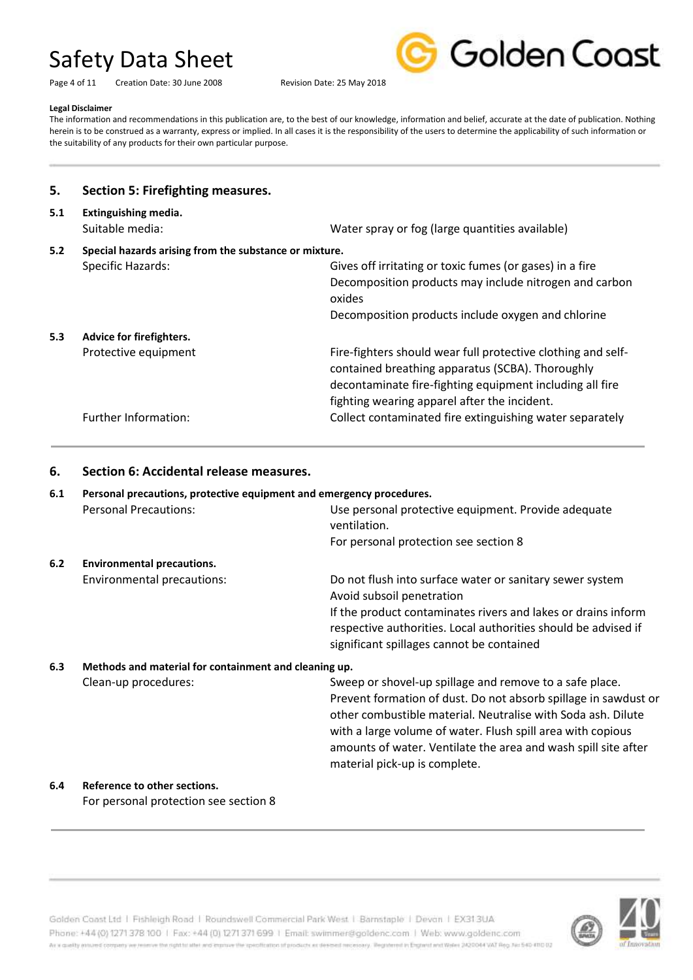Golden Coast

#### Page 4 of 11 Creation Date: 30 June 2008 Revision Date: 25 May 2018

#### **Legal Disclaimer**

The information and recommendations in this publication are, to the best of our knowledge, information and belief, accurate at the date of publication. Nothing herein is to be construed as a warranty, express or implied. In all cases it is the responsibility of the users to determine the applicability of such information or the suitability of any products for their own particular purpose.

| 5.                                                            | <b>Section 5: Firefighting measures.</b> |                                                                                                                                                                                                                              |
|---------------------------------------------------------------|------------------------------------------|------------------------------------------------------------------------------------------------------------------------------------------------------------------------------------------------------------------------------|
| 5.1                                                           | Extinguishing media.<br>Suitable media:  | Water spray or fog (large quantities available)                                                                                                                                                                              |
| 5.2<br>Special hazards arising from the substance or mixture. |                                          |                                                                                                                                                                                                                              |
|                                                               | Specific Hazards:                        | Gives off irritating or toxic fumes (or gases) in a fire                                                                                                                                                                     |
|                                                               |                                          | Decomposition products may include nitrogen and carbon<br>oxides                                                                                                                                                             |
|                                                               |                                          | Decomposition products include oxygen and chlorine                                                                                                                                                                           |
| 5.3                                                           | Advice for firefighters.                 |                                                                                                                                                                                                                              |
|                                                               | Protective equipment                     | Fire-fighters should wear full protective clothing and self-<br>contained breathing apparatus (SCBA). Thoroughly<br>decontaminate fire-fighting equipment including all fire<br>fighting wearing apparel after the incident. |
|                                                               | Further Information:                     | Collect contaminated fire extinguishing water separately                                                                                                                                                                     |

#### **6. Section 6: Accidental release measures.**

| 6.1 | Personal precautions, protective equipment and emergency procedures. |                                                                                                                                                                                                                                                                                                                                                              |  |  |
|-----|----------------------------------------------------------------------|--------------------------------------------------------------------------------------------------------------------------------------------------------------------------------------------------------------------------------------------------------------------------------------------------------------------------------------------------------------|--|--|
|     | <b>Personal Precautions:</b>                                         | Use personal protective equipment. Provide adequate<br>ventilation.                                                                                                                                                                                                                                                                                          |  |  |
|     |                                                                      | For personal protection see section 8                                                                                                                                                                                                                                                                                                                        |  |  |
| 6.2 | <b>Environmental precautions.</b>                                    |                                                                                                                                                                                                                                                                                                                                                              |  |  |
|     | Environmental precautions:                                           | Do not flush into surface water or sanitary sewer system<br>Avoid subsoil penetration<br>If the product contaminates rivers and lakes or drains inform<br>respective authorities. Local authorities should be advised if<br>significant spillages cannot be contained                                                                                        |  |  |
| 6.3 | Methods and material for containment and cleaning up.                |                                                                                                                                                                                                                                                                                                                                                              |  |  |
|     | Clean-up procedures:                                                 | Sweep or shovel-up spillage and remove to a safe place.<br>Prevent formation of dust. Do not absorb spillage in sawdust or<br>other combustible material. Neutralise with Soda ash. Dilute<br>with a large volume of water. Flush spill area with copious<br>amounts of water. Ventilate the area and wash spill site after<br>material pick-up is complete. |  |  |
| 6.4 | Reference to other sections.                                         |                                                                                                                                                                                                                                                                                                                                                              |  |  |

For personal protection see section 8

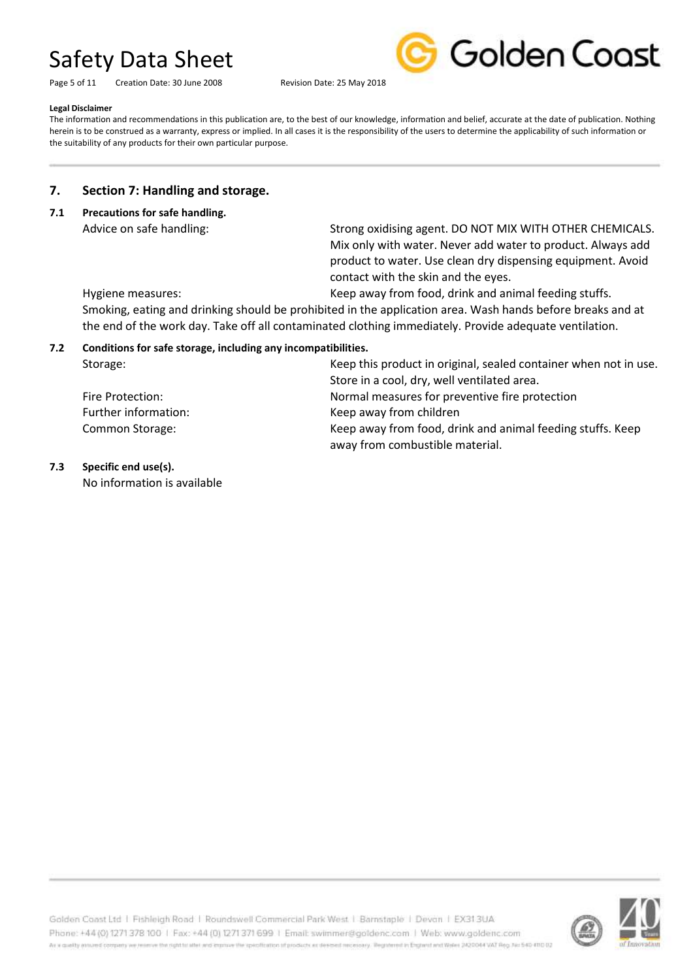Page 5 of 11 Creation Date: 30 June 2008 Revision Date: 25 May 2018



#### **Legal Disclaimer**

The information and recommendations in this publication are, to the best of our knowledge, information and belief, accurate at the date of publication. Nothing herein is to be construed as a warranty, express or implied. In all cases it is the responsibility of the users to determine the applicability of such information or the suitability of any products for their own particular purpose.

### **7. Section 7: Handling and storage.**

**7.1 Precautions for safe handling.**

Advice on safe handling: Strong oxidising agent. DO NOT MIX WITH OTHER CHEMICALS. Mix only with water. Never add water to product. Always add product to water. Use clean dry dispensing equipment. Avoid contact with the skin and the eyes.

Hygiene measures: Keep away from food, drink and animal feeding stuffs.

Smoking, eating and drinking should be prohibited in the application area. Wash hands before breaks and at the end of the work day. Take off all contaminated clothing immediately. Provide adequate ventilation.

#### **7.2 Conditions for safe storage, including any incompatibilities.**

| Storage:             | Keep this product in original, sealed container when not in use. |
|----------------------|------------------------------------------------------------------|
|                      | Store in a cool, dry, well ventilated area.                      |
| Fire Protection:     | Normal measures for preventive fire protection                   |
| Further information: | Keep away from children                                          |
| Common Storage:      | Keep away from food, drink and animal feeding stuffs. Keep       |
|                      | away from combustible material.                                  |

**7.3 Specific end use(s).**

No information is available

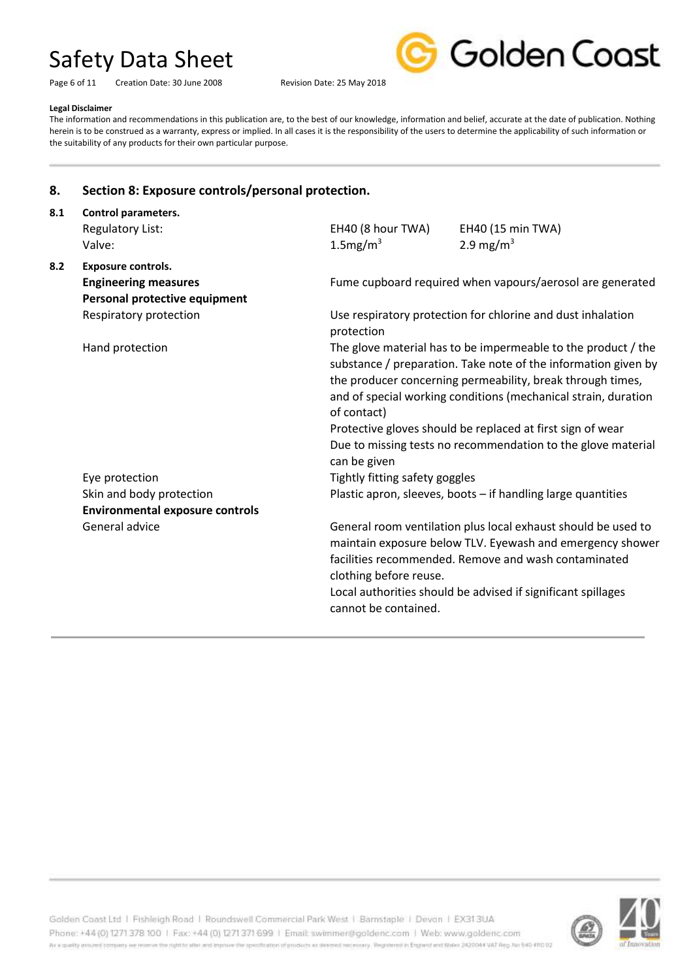Page 6 of 11 Creation Date: 30 June 2008 Revision Date: 25 May 2018



#### **Legal Disclaimer**

The information and recommendations in this publication are, to the best of our knowledge, information and belief, accurate at the date of publication. Nothing herein is to be construed as a warranty, express or implied. In all cases it is the responsibility of the users to determine the applicability of such information or the suitability of any products for their own particular purpose.

### **8. Section 8: Exposure controls/personal protection.**

| Control parameters.                    |                                                                                                                                                                                                                                                                                                                                                                                                              |                                                             |  |  |
|----------------------------------------|--------------------------------------------------------------------------------------------------------------------------------------------------------------------------------------------------------------------------------------------------------------------------------------------------------------------------------------------------------------------------------------------------------------|-------------------------------------------------------------|--|--|
| <b>Regulatory List:</b>                | EH40 (8 hour TWA)                                                                                                                                                                                                                                                                                                                                                                                            | EH40 (15 min TWA)                                           |  |  |
| Valve:                                 | $1.5$ mg/m <sup>3</sup>                                                                                                                                                                                                                                                                                                                                                                                      | 2.9 mg/m <sup>3</sup>                                       |  |  |
| <b>Exposure controls.</b>              |                                                                                                                                                                                                                                                                                                                                                                                                              |                                                             |  |  |
| <b>Engineering measures</b>            |                                                                                                                                                                                                                                                                                                                                                                                                              | Fume cupboard required when vapours/aerosol are generated   |  |  |
| Personal protective equipment          |                                                                                                                                                                                                                                                                                                                                                                                                              |                                                             |  |  |
| Respiratory protection                 | protection                                                                                                                                                                                                                                                                                                                                                                                                   | Use respiratory protection for chlorine and dust inhalation |  |  |
| Hand protection                        | The glove material has to be impermeable to the product / the<br>substance / preparation. Take note of the information given by<br>the producer concerning permeability, break through times,<br>and of special working conditions (mechanical strain, duration<br>of contact)<br>Protective gloves should be replaced at first sign of wear<br>Due to missing tests no recommendation to the glove material |                                                             |  |  |
|                                        | can be given                                                                                                                                                                                                                                                                                                                                                                                                 |                                                             |  |  |
| Eye protection                         | Tightly fitting safety goggles                                                                                                                                                                                                                                                                                                                                                                               |                                                             |  |  |
| Skin and body protection               | Plastic apron, sleeves, boots - if handling large quantities                                                                                                                                                                                                                                                                                                                                                 |                                                             |  |  |
| <b>Environmental exposure controls</b> |                                                                                                                                                                                                                                                                                                                                                                                                              |                                                             |  |  |
| General advice                         | General room ventilation plus local exhaust should be used to<br>maintain exposure below TLV. Eyewash and emergency shower<br>facilities recommended. Remove and wash contaminated<br>clothing before reuse.<br>Local authorities should be advised if significant spillages<br>cannot be contained.                                                                                                         |                                                             |  |  |
|                                        |                                                                                                                                                                                                                                                                                                                                                                                                              |                                                             |  |  |



Golden Coast Ltd | Fishleigh Road | Roundswell Commercial Park West | Barnstaple | Devon | EX313UA Phone: +44 (0) 1271 378 100 | Fax: +44 (0) 1271 371 699 | Email: swimmer@goldenc.com | Web: www.goldenc.com As a quality ensured company we reserve the right to after and enprice the specification of products as deepent recessary. Registered in England and Wales (AQDO44 VAT Reg. Just 540-410 D2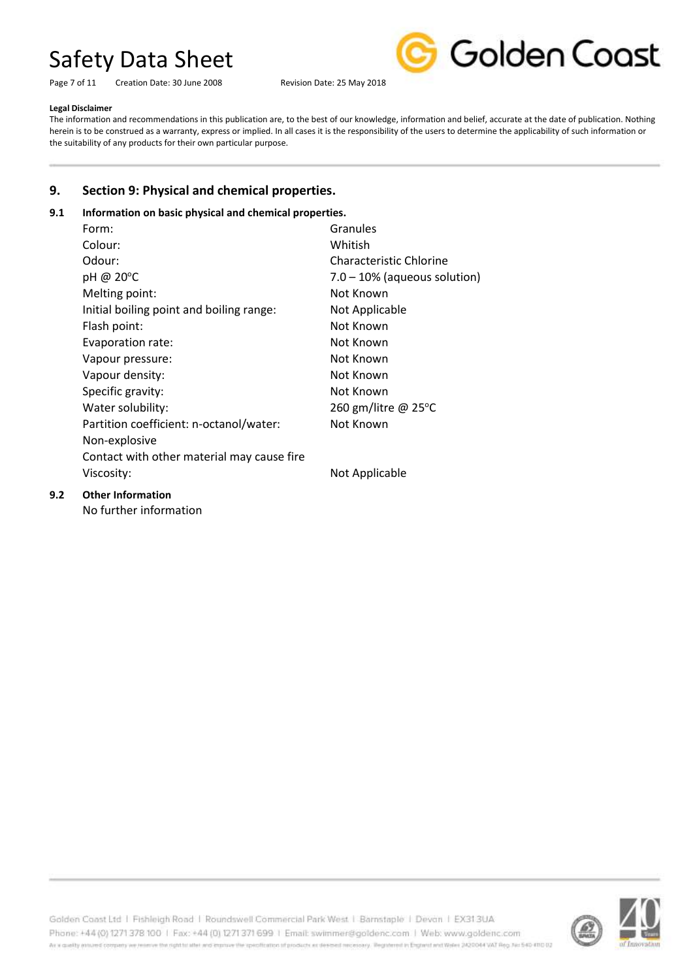Page 7 of 11 Creation Date: 30 June 2008 Revision Date: 25 May 2018



#### **Legal Disclaimer**

The information and recommendations in this publication are, to the best of our knowledge, information and belief, accurate at the date of publication. Nothing herein is to be construed as a warranty, express or implied. In all cases it is the responsibility of the users to determine the applicability of such information or the suitability of any products for their own particular purpose.

## **9. Section 9: Physical and chemical properties.**

### **9.1 Information on basic physical and chemical properties.**

| Form:                                      | Granules                        |
|--------------------------------------------|---------------------------------|
| Colour:                                    | Whitish                         |
| Odour:                                     | Characteristic Chlorine         |
| pH @ 20°C                                  | $7.0 - 10\%$ (aqueous solution) |
| Melting point:                             | Not Known                       |
| Initial boiling point and boiling range:   | Not Applicable                  |
| Flash point:                               | Not Known                       |
| Evaporation rate:                          | Not Known                       |
| Vapour pressure:                           | Not Known                       |
| Vapour density:                            | Not Known                       |
| Specific gravity:                          | Not Known                       |
| Water solubility:                          | 260 gm/litre @ 25°C             |
| Partition coefficient: n-octanol/water:    | Not Known                       |
| Non-explosive                              |                                 |
| Contact with other material may cause fire |                                 |
| Viscosity:                                 | Not Applicable                  |
|                                            |                                 |

## **9.2 Other Information**

No further information



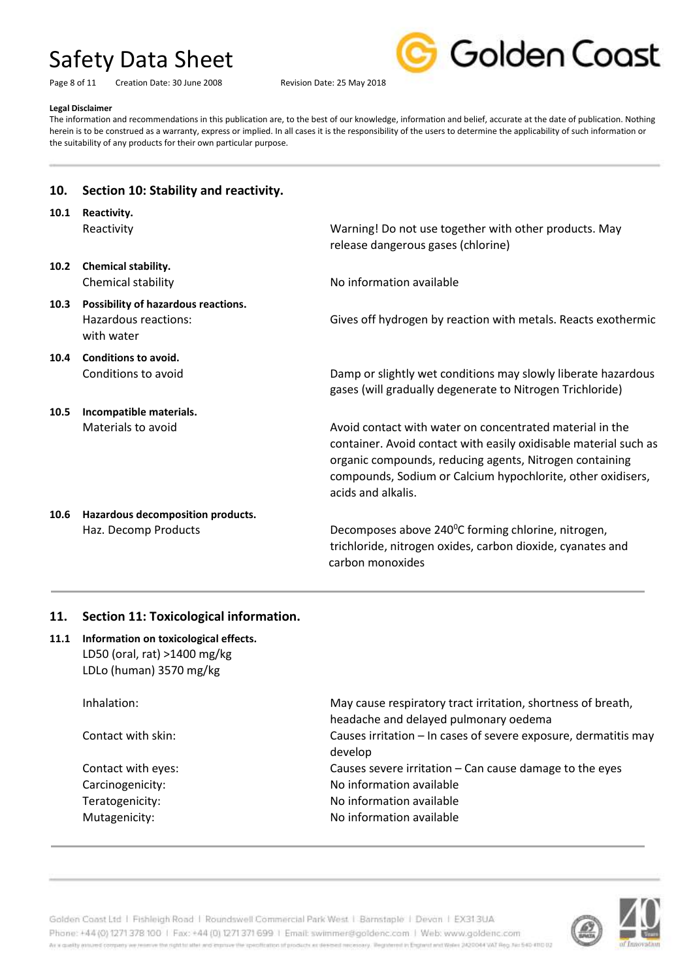**10. Section 10: Stability and reactivity.**

Page 8 of 11 Creation Date: 30 June 2008 Revision Date: 25 May 2018



#### **Legal Disclaimer**

The information and recommendations in this publication are, to the best of our knowledge, information and belief, accurate at the date of publication. Nothing herein is to be construed as a warranty, express or implied. In all cases it is the responsibility of the users to determine the applicability of such information or the suitability of any products for their own particular purpose.

| 10.1 | Reactivity.<br>Reactivity                                                 | Warning! Do not use together with other products. May<br>release dangerous gases (chlorine)                                                                                                                                                                                  |
|------|---------------------------------------------------------------------------|------------------------------------------------------------------------------------------------------------------------------------------------------------------------------------------------------------------------------------------------------------------------------|
| 10.2 | <b>Chemical stability.</b><br>Chemical stability                          | No information available                                                                                                                                                                                                                                                     |
| 10.3 | Possibility of hazardous reactions.<br>Hazardous reactions:<br>with water | Gives off hydrogen by reaction with metals. Reacts exothermic                                                                                                                                                                                                                |
| 10.4 | Conditions to avoid.<br>Conditions to avoid                               | Damp or slightly wet conditions may slowly liberate hazardous<br>gases (will gradually degenerate to Nitrogen Trichloride)                                                                                                                                                   |
| 10.5 | Incompatible materials.<br>Materials to avoid                             | Avoid contact with water on concentrated material in the<br>container. Avoid contact with easily oxidisable material such as<br>organic compounds, reducing agents, Nitrogen containing<br>compounds, Sodium or Calcium hypochlorite, other oxidisers,<br>acids and alkalis. |
| 10.6 | Hazardous decomposition products.<br>Haz. Decomp Products                 | Decomposes above 240°C forming chlorine, nitrogen,<br>trichloride, nitrogen oxides, carbon dioxide, cyanates and<br>carbon monoxides                                                                                                                                         |

#### **11. Section 11: Toxicological information.**

### **11.1 Information on toxicological effects.** LD50 (oral, rat) >1400 mg/kg LDLo (human) 3570 mg/kg

Inhalation: May cause respiratory tract irritation, shortness of breath, headache and delayed pulmonary oedema Contact with skin: Causes irritation – In cases of severe exposure, dermatitis may develop Contact with eyes: Causes severe irritation – Can cause damage to the eyes Carcinogenicity: Carcinogenicity: No information available Teratogenicity: Teratogenicity: No information available Mutagenicity: Mutagenicity: Molinformation available



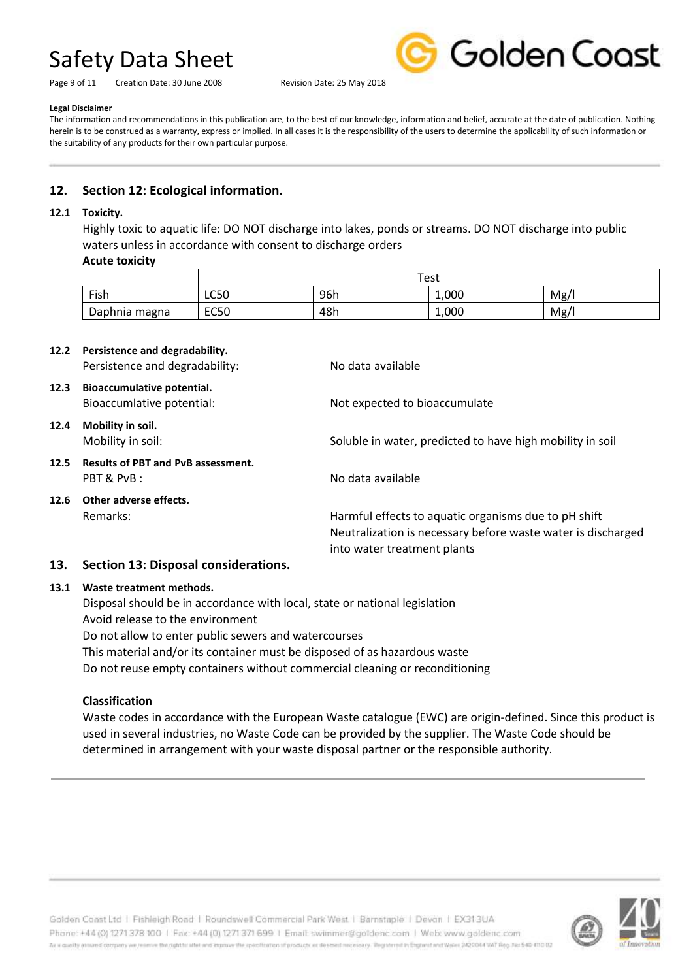Page 9 of 11 Creation Date: 30 June 2008 Revision Date: 25 May 2018



#### **Legal Disclaimer**

The information and recommendations in this publication are, to the best of our knowledge, information and belief, accurate at the date of publication. Nothing herein is to be construed as a warranty, express or implied. In all cases it is the responsibility of the users to determine the applicability of such information or the suitability of any products for their own particular purpose.

## **12. Section 12: Ecological information.**

#### **12.1 Toxicity.**

Highly toxic to aquatic life: DO NOT discharge into lakes, ponds or streams. DO NOT discharge into public waters unless in accordance with consent to discharge orders

### **Acute toxicity**

|               | Test        |     |       |     |
|---------------|-------------|-----|-------|-----|
| Fish          | LC50        | 96h | 1,000 | Mg/ |
| Daphnia magna | <b>EC50</b> | 48h | 1,000 | Mg/ |

|      | 12.2 Persistence and degradability.<br>Persistence and degradability: | No data available                                                                                                                                   |
|------|-----------------------------------------------------------------------|-----------------------------------------------------------------------------------------------------------------------------------------------------|
| 12.3 | Bioaccumulative potential.<br>Bioaccumlative potential:               | Not expected to bioaccumulate                                                                                                                       |
| 12.4 | Mobility in soil.<br>Mobility in soil:                                | Soluble in water, predicted to have high mobility in soil                                                                                           |
| 12.5 | <b>Results of PBT and PvB assessment.</b><br>PBT & PvB:               | No data available                                                                                                                                   |
| 12.6 | Other adverse effects.<br>Remarks:                                    | Harmful effects to aquatic organisms due to pH shift<br>Neutralization is necessary before waste water is discharged<br>into water treatment plants |

#### **13. Section 13: Disposal considerations.**

#### **13.1 Waste treatment methods.**

Disposal should be in accordance with local, state or national legislation Avoid release to the environment Do not allow to enter public sewers and watercourses This material and/or its container must be disposed of as hazardous waste Do not reuse empty containers without commercial cleaning or reconditioning

### **Classification**

Waste codes in accordance with the European Waste catalogue (EWC) are origin-defined. Since this product is used in several industries, no Waste Code can be provided by the supplier. The Waste Code should be determined in arrangement with your waste disposal partner or the responsible authority.



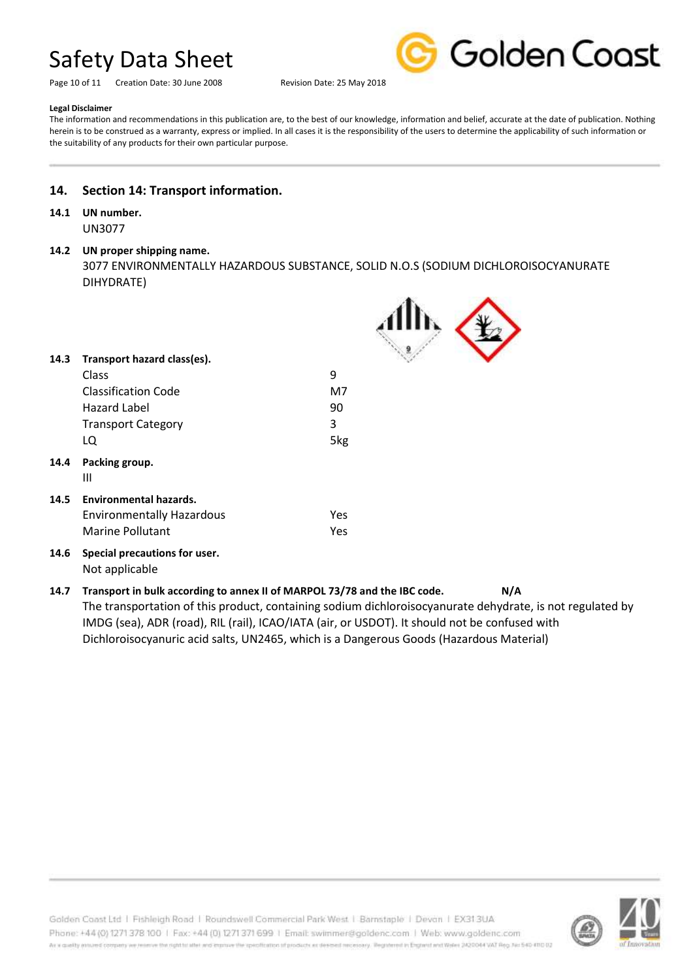Page 10 of 11 Creation Date: 30 June 2008 Revision Date: 25 May 2018



#### **Legal Disclaimer**

The information and recommendations in this publication are, to the best of our knowledge, information and belief, accurate at the date of publication. Nothing herein is to be construed as a warranty, express or implied. In all cases it is the responsibility of the users to determine the applicability of such information or the suitability of any products for their own particular purpose.

### **14. Section 14: Transport information.**

### **14.1 UN number.**

UN3077

#### **14.2 UN proper shipping name.**

3077 ENVIRONMENTALLY HAZARDOUS SUBSTANCE, SOLID N.O.S (SODIUM DICHLOROISOCYANURATE DIHYDRATE)

-44

 $\blacktriangle$ 

| 14.3 | Transport hazard class(es).                     |            |  |
|------|-------------------------------------------------|------------|--|
|      | Class                                           | 9          |  |
|      | <b>Classification Code</b>                      | M7         |  |
|      | Hazard Label                                    | 90         |  |
|      | <b>Transport Category</b>                       | 3          |  |
|      | LQ                                              | 5kg        |  |
| 14.4 | Packing group.<br>Ш                             |            |  |
| 14.5 | <b>Environmental hazards.</b>                   |            |  |
|      | <b>Environmentally Hazardous</b>                | <b>Yes</b> |  |
|      | Marine Pollutant                                | <b>Yes</b> |  |
| 14.6 | Special precautions for user.<br>Not applicable |            |  |

### **14.7 Transport in bulk according to annex II of MARPOL 73/78 and the IBC code. N/A** The transportation of this product, containing sodium dichloroisocyanurate dehydrate, is not regulated by IMDG (sea), ADR (road), RIL (rail), ICAO/IATA (air, or USDOT). It should not be confused with Dichloroisocyanuric acid salts, UN2465, which is a Dangerous Goods (Hazardous Material)